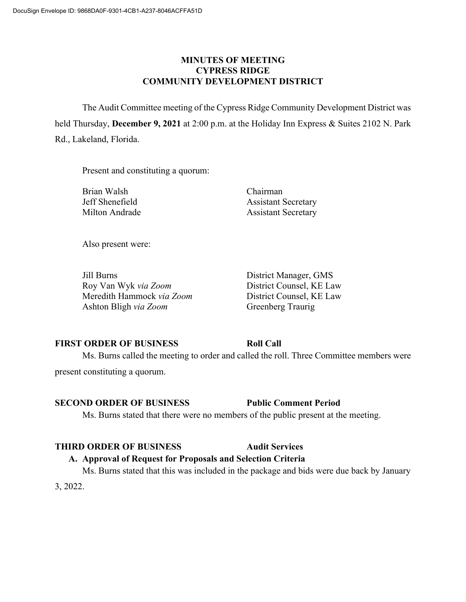### **MINUTES OF MEETING CYPRESS RIDGE COMMUNITY DEVELOPMENT DISTRICT**

The Audit Committee meeting of the Cypress Ridge Community Development District was held Thursday, **December 9, 2021** at 2:00 p.m. at the Holiday Inn Express & Suites 2102 N. Park Rd., Lakeland, Florida.

Present and constituting a quorum:

Brian Walsh Chairman

Jeff Shenefield Assistant Secretary Milton Andrade Assistant Secretary

Also present were:

Jill Burns District Manager, GMS Roy Van Wyk *via Zoom* District Counsel, KE Law Meredith Hammock *via Zoom* District Counsel, KE Law Ashton Bligh *via Zoom* Greenberg Traurig

# **FIRST ORDER OF BUSINESS Roll Call**

Ms. Burns called the meeting to order and called the roll. Three Committee members were present constituting a quorum.

# **SECOND ORDER OF BUSINESS Public Comment Period**

Ms. Burns stated that there were no members of the public present at the meeting.

### **THIRD ORDER OF BUSINESS Audit Services**

# **A. Approval of Request for Proposals and Selection Criteria**

Ms. Burns stated that this was included in the package and bids were due back by January

3, 2022.